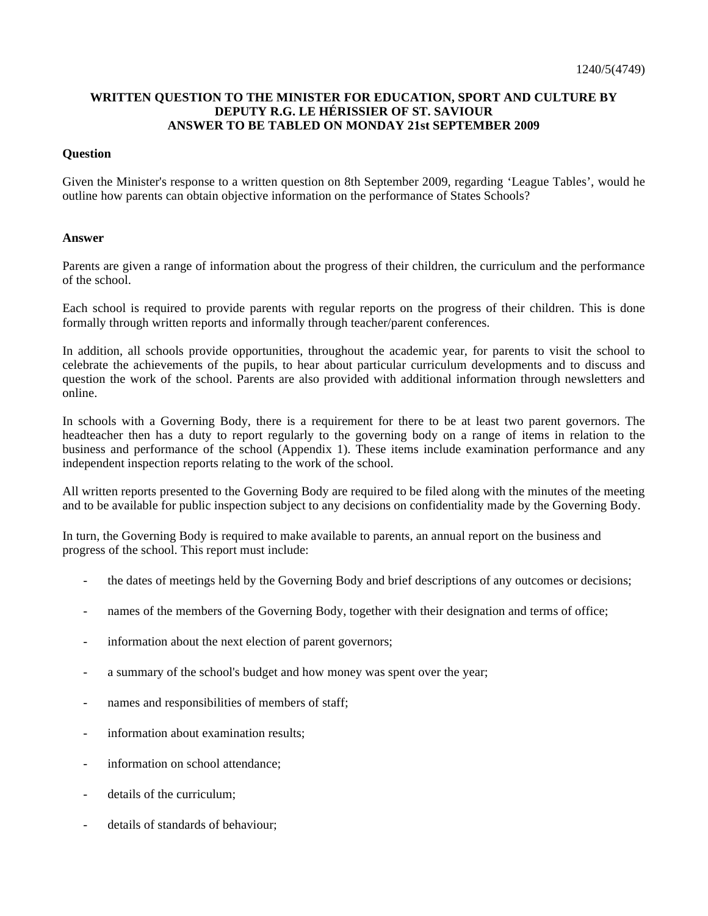## **WRITTEN QUESTION TO THE MINISTER FOR EDUCATION, SPORT AND CULTURE BY DEPUTY R.G. LE HÉRISSIER OF ST. SAVIOUR ANSWER TO BE TABLED ON MONDAY 21st SEPTEMBER 2009**

## **Question**

Given the Minister's response to a written question on 8th September 2009, regarding 'League Tables', would he outline how parents can obtain objective information on the performance of States Schools?

## **Answer**

Parents are given a range of information about the progress of their children, the curriculum and the performance of the school.

Each school is required to provide parents with regular reports on the progress of their children. This is done formally through written reports and informally through teacher/parent conferences.

In addition, all schools provide opportunities, throughout the academic year, for parents to visit the school to celebrate the achievements of the pupils, to hear about particular curriculum developments and to discuss and question the work of the school. Parents are also provided with additional information through newsletters and online.

In schools with a Governing Body, there is a requirement for there to be at least two parent governors. The headteacher then has a duty to report regularly to the governing body on a range of items in relation to the business and performance of the school (Appendix 1). These items include examination performance and any independent inspection reports relating to the work of the school.

All written reports presented to the Governing Body are required to be filed along with the minutes of the meeting and to be available for public inspection subject to any decisions on confidentiality made by the Governing Body.

In turn, the Governing Body is required to make available to parents, an annual report on the business and progress of the school. This report must include:

- the dates of meetings held by the Governing Body and brief descriptions of any outcomes or decisions;
- names of the members of the Governing Body, together with their designation and terms of office;
- information about the next election of parent governors;
- a summary of the school's budget and how money was spent over the year;
- names and responsibilities of members of staff;
- information about examination results:
- information on school attendance:
- details of the curriculum:
- details of standards of behaviour;